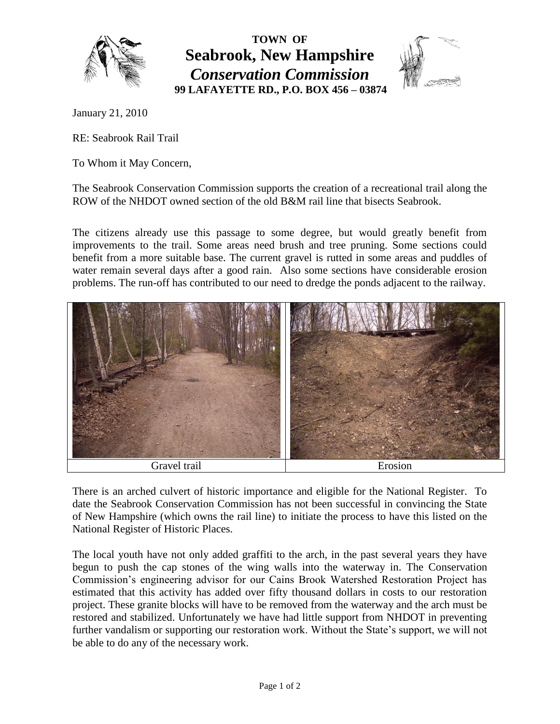

**TOWN OF Seabrook, New Hampshire** *Conservation Commission* **99 LAFAYETTE RD., P.O. BOX 456 – 03874**



January 21, 2010

RE: Seabrook Rail Trail

To Whom it May Concern,

The Seabrook Conservation Commission supports the creation of a recreational trail along the ROW of the NHDOT owned section of the old B&M rail line that bisects Seabrook.

The citizens already use this passage to some degree, but would greatly benefit from improvements to the trail. Some areas need brush and tree pruning. Some sections could benefit from a more suitable base. The current gravel is rutted in some areas and puddles of water remain several days after a good rain. Also some sections have considerable erosion problems. The run-off has contributed to our need to dredge the ponds adjacent to the railway.



There is an arched culvert of historic importance and eligible for the National Register. To date the Seabrook Conservation Commission has not been successful in convincing the State of New Hampshire (which owns the rail line) to initiate the process to have this listed on the National Register of Historic Places.

The local youth have not only added graffiti to the arch, in the past several years they have begun to push the cap stones of the wing walls into the waterway in. The Conservation Commission's engineering advisor for our Cains Brook Watershed Restoration Project has estimated that this activity has added over fifty thousand dollars in costs to our restoration project. These granite blocks will have to be removed from the waterway and the arch must be restored and stabilized. Unfortunately we have had little support from NHDOT in preventing further vandalism or supporting our restoration work. Without the State's support, we will not be able to do any of the necessary work.